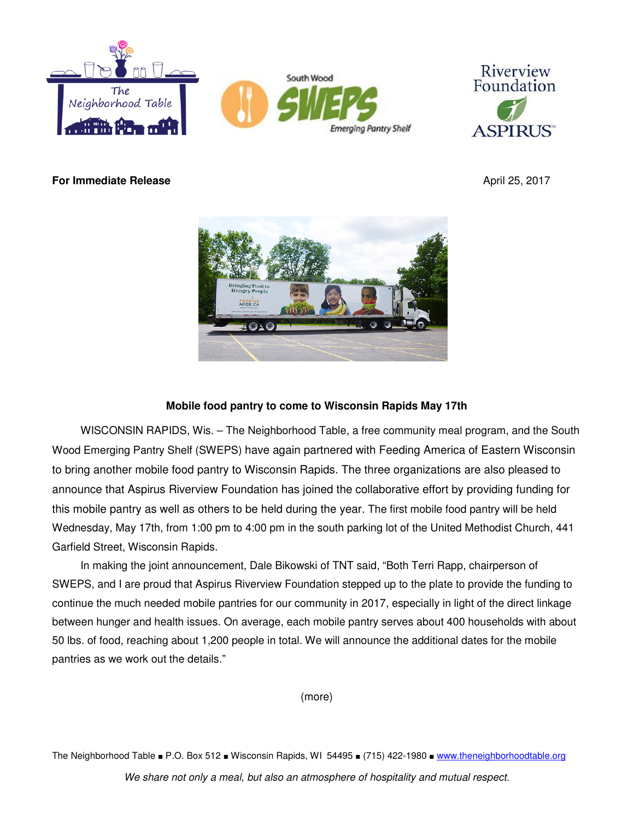



**For Immediate Release** April 25, 2017



# **Mobile food pantry to come to Wisconsin Rapids May 17th**

WISCONSIN RAPIDS, Wis. – The Neighborhood Table, a free community meal program, and the South Wood Emerging Pantry Shelf (SWEPS) have again partnered with Feeding America of Eastern Wisconsin to bring another mobile food pantry to Wisconsin Rapids. The three organizations are also pleased to announce that Aspirus Riverview Foundation has joined the collaborative effort by providing funding for this mobile pantry as well as others to be held during the year. The first mobile food pantry will be held Wednesday, May 17th, from 1:00 pm to 4:00 pm in the south parking lot of the United Methodist Church, 441 Garfield Street, Wisconsin Rapids.

In making the joint announcement, Dale Bikowski of TNT said, "Both Terri Rapp, chairperson of SWEPS, and I are proud that Aspirus Riverview Foundation stepped up to the plate to provide the funding to continue the much needed mobile pantries for our community in 2017, especially in light of the direct linkage between hunger and health issues. On average, each mobile pantry serves about 400 households with about 50 lbs. of food, reaching about 1,200 people in total. We will announce the additional dates for the mobile pantries as we work out the details."

(more)

The Neighborhood Table ■ P.O. Box 512 ■ Wisconsin Rapids, WI 54495 ■ (715) 422-1980 ■ www.theneighborhoodtable.org

We share not only a meal, but also an atmosphere of hospitality and mutual respect.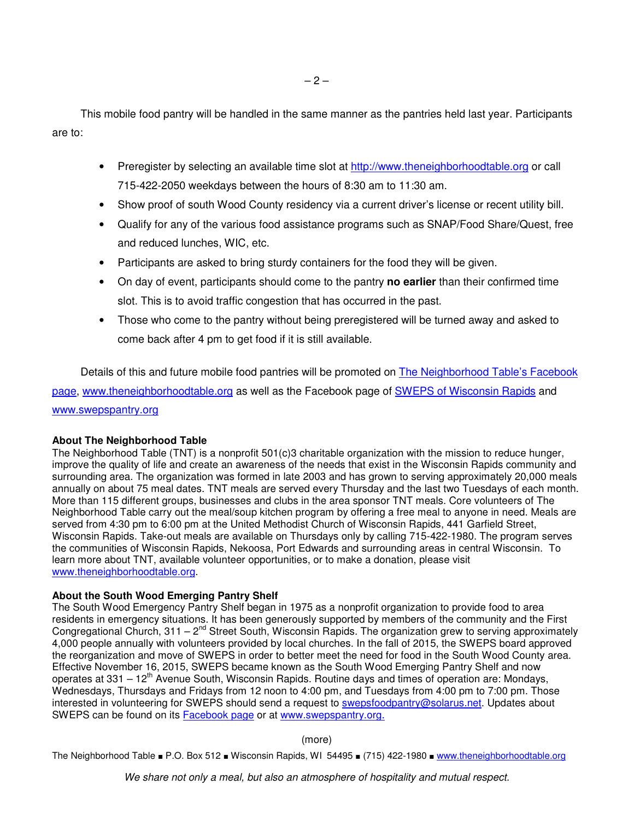This mobile food pantry will be handled in the same manner as the pantries held last year. Participants are to:

- Preregister by selecting an available time slot at http://www.theneighborhoodtable.org or call 715-422-2050 weekdays between the hours of 8:30 am to 11:30 am.
- Show proof of south Wood County residency via a current driver's license or recent utility bill.
- Qualify for any of the various food assistance programs such as SNAP/Food Share/Quest, free and reduced lunches, WIC, etc.
- Participants are asked to bring sturdy containers for the food they will be given.
- On day of event, participants should come to the pantry **no earlier** than their confirmed time slot. This is to avoid traffic congestion that has occurred in the past.
- Those who come to the pantry without being preregistered will be turned away and asked to come back after 4 pm to get food if it is still available.

Details of this and future mobile food pantries will be promoted on The Neighborhood Table's Facebook page, www.theneighborhoodtable.org as well as the Facebook page of SWEPS of Wisconsin Rapids and www.swepspantry.org

## **About The Neighborhood Table**

The Neighborhood Table (TNT) is a nonprofit 501(c)3 charitable organization with the mission to reduce hunger, improve the quality of life and create an awareness of the needs that exist in the Wisconsin Rapids community and surrounding area. The organization was formed in late 2003 and has grown to serving approximately 20,000 meals annually on about 75 meal dates. TNT meals are served every Thursday and the last two Tuesdays of each month. More than 115 different groups, businesses and clubs in the area sponsor TNT meals. Core volunteers of The Neighborhood Table carry out the meal/soup kitchen program by offering a free meal to anyone in need. Meals are served from 4:30 pm to 6:00 pm at the United Methodist Church of Wisconsin Rapids, 441 Garfield Street, Wisconsin Rapids. Take-out meals are available on Thursdays only by calling 715-422-1980. The program serves the communities of Wisconsin Rapids, Nekoosa, Port Edwards and surrounding areas in central Wisconsin. To learn more about TNT, available volunteer opportunities, or to make a donation, please visit www.theneighborhoodtable.org.

## **About the South Wood Emerging Pantry Shelf**

The South Wood Emergency Pantry Shelf began in 1975 as a nonprofit organization to provide food to area residents in emergency situations. It has been generously supported by members of the community and the First Congregational Church, 311 –  $2^{nd}$  Street South, Wisconsin Rapids. The organization grew to serving approximately 4,000 people annually with volunteers provided by local churches. In the fall of 2015, the SWEPS board approved the reorganization and move of SWEPS in order to better meet the need for food in the South Wood County area. Effective November 16, 2015, SWEPS became known as the South Wood Emerging Pantry Shelf and now operates at 331 –  $12<sup>th</sup>$  Avenue South, Wisconsin Rapids. Routine days and times of operation are: Mondays, Wednesdays, Thursdays and Fridays from 12 noon to 4:00 pm, and Tuesdays from 4:00 pm to 7:00 pm. Those interested in volunteering for SWEPS should send a request to **swepsfoodpantry@solarus.net.** Updates about SWEPS can be found on its Facebook page or at www.swepspantry.org.

#### (more)

The Neighborhood Table ■ P.O. Box 512 ■ Wisconsin Rapids, WI 54495 ■ (715) 422-1980 ■ www.theneighborhoodtable.org

We share not only a meal, but also an atmosphere of hospitality and mutual respect.